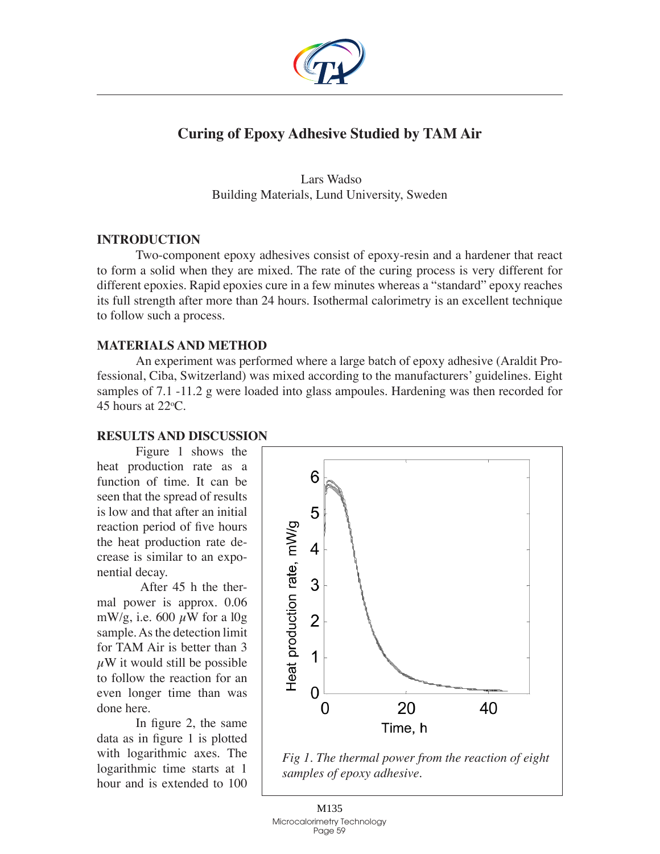

# **Curing of Epoxy Adhesive Studied by TAM Air**

 Lars Wadso Building Materials, Lund University, Sweden

## **Introduction**

Two-component epoxy adhesives consist of epoxy-resin and a hardener that react to form a solid when they are mixed. The rate of the curing process is very different for different epoxies. Rapid epoxies cure in a few minutes whereas a "standard" epoxy reaches its full strength after more than 24 hours. Isothermal calorimetry is an excellent technique to follow such a process.

## **Materials and method**

An experiment was performed where a large batch of epoxy adhesive (Araldit Professional, Ciba, Switzerland) was mixed according to the manufacturers' guidelines. Eight samples of 7.1 -11.2 g were loaded into glass ampoules. Hardening was then recorded for 45 hours at  $22^{\circ}$ C.

## **Results and discussion**

Figure 1 shows the heat production rate as a function of time. It can be seen that the spread of results is low and that after an initial reaction period of five hours the heat production rate decrease is similar to an exponential decay.

 After 45 h the thermal power is approx. 0.06 mW/g, i.e. 600  $\mu$ W for a l0g sample. As the detection limit for TAM Air is better than 3  $\mu$ W it would still be possible to follow the reaction for an even longer time than was done here.

In figure 2, the same data as in figure 1 is plotted with logarithmic axes. The logarithmic time starts at 1 hour and is extended to 100



*Fig 1. The thermal power from the reaction of eight samples of epoxy adhesive.*